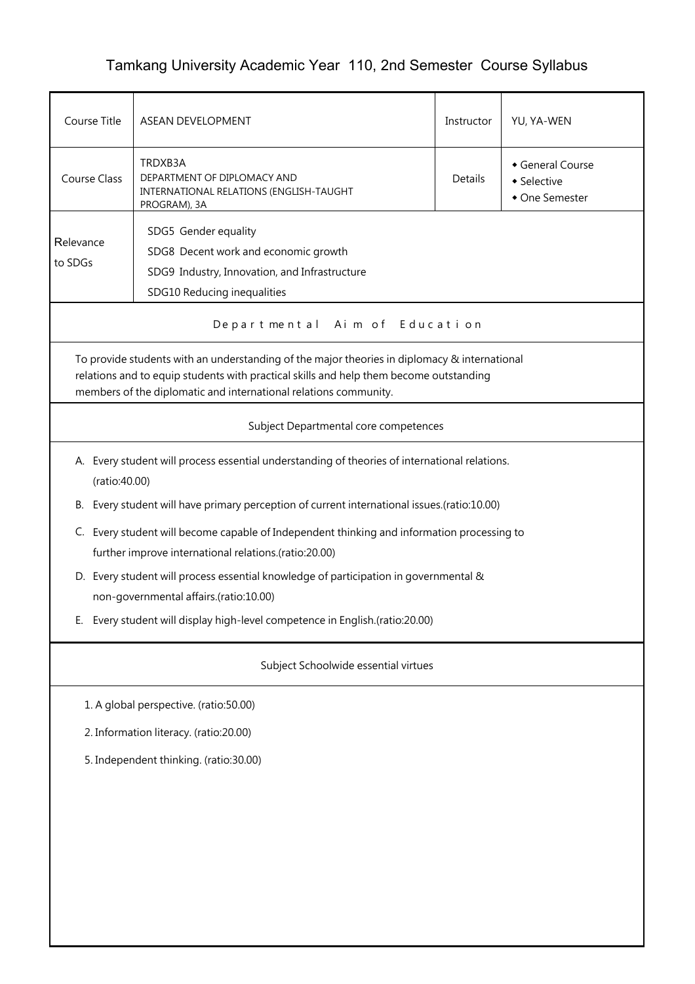## Tamkang University Academic Year 110, 2nd Semester Course Syllabus

| Course Title                                                                                                                                                                                                                                               | <b>ASEAN DEVELOPMENT</b>                                                                                                                            | Instructor | YU, YA-WEN                                      |  |  |  |  |
|------------------------------------------------------------------------------------------------------------------------------------------------------------------------------------------------------------------------------------------------------------|-----------------------------------------------------------------------------------------------------------------------------------------------------|------------|-------------------------------------------------|--|--|--|--|
| <b>Course Class</b>                                                                                                                                                                                                                                        | TRDXB3A<br>DEPARTMENT OF DIPLOMACY AND<br>INTERNATIONAL RELATIONS (ENGLISH-TAUGHT<br>PROGRAM), 3A                                                   | Details    | General Course<br>• Selective<br>• One Semester |  |  |  |  |
| SDG5 Gender equality<br>Relevance<br>SDG8 Decent work and economic growth<br>to SDGs<br>SDG9 Industry, Innovation, and Infrastructure<br>SDG10 Reducing inequalities                                                                                       |                                                                                                                                                     |            |                                                 |  |  |  |  |
|                                                                                                                                                                                                                                                            | Departmental Aim of Education                                                                                                                       |            |                                                 |  |  |  |  |
| To provide students with an understanding of the major theories in diplomacy & international<br>relations and to equip students with practical skills and help them become outstanding<br>members of the diplomatic and international relations community. |                                                                                                                                                     |            |                                                 |  |  |  |  |
|                                                                                                                                                                                                                                                            | Subject Departmental core competences                                                                                                               |            |                                                 |  |  |  |  |
|                                                                                                                                                                                                                                                            | A. Every student will process essential understanding of theories of international relations.<br>(ratio:40.00)                                      |            |                                                 |  |  |  |  |
| В.                                                                                                                                                                                                                                                         | Every student will have primary perception of current international issues.(ratio:10.00)                                                            |            |                                                 |  |  |  |  |
|                                                                                                                                                                                                                                                            | C. Every student will become capable of Independent thinking and information processing to<br>further improve international relations.(ratio:20.00) |            |                                                 |  |  |  |  |
|                                                                                                                                                                                                                                                            | D. Every student will process essential knowledge of participation in governmental &<br>non-governmental affairs.(ratio:10.00)                      |            |                                                 |  |  |  |  |
| E. Every student will display high-level competence in English.(ratio:20.00)                                                                                                                                                                               |                                                                                                                                                     |            |                                                 |  |  |  |  |
| Subject Schoolwide essential virtues                                                                                                                                                                                                                       |                                                                                                                                                     |            |                                                 |  |  |  |  |
|                                                                                                                                                                                                                                                            | 1. A global perspective. (ratio:50.00)                                                                                                              |            |                                                 |  |  |  |  |
| 2. Information literacy. (ratio:20.00)                                                                                                                                                                                                                     |                                                                                                                                                     |            |                                                 |  |  |  |  |
| 5. Independent thinking. (ratio:30.00)                                                                                                                                                                                                                     |                                                                                                                                                     |            |                                                 |  |  |  |  |
|                                                                                                                                                                                                                                                            |                                                                                                                                                     |            |                                                 |  |  |  |  |
|                                                                                                                                                                                                                                                            |                                                                                                                                                     |            |                                                 |  |  |  |  |
|                                                                                                                                                                                                                                                            |                                                                                                                                                     |            |                                                 |  |  |  |  |
|                                                                                                                                                                                                                                                            |                                                                                                                                                     |            |                                                 |  |  |  |  |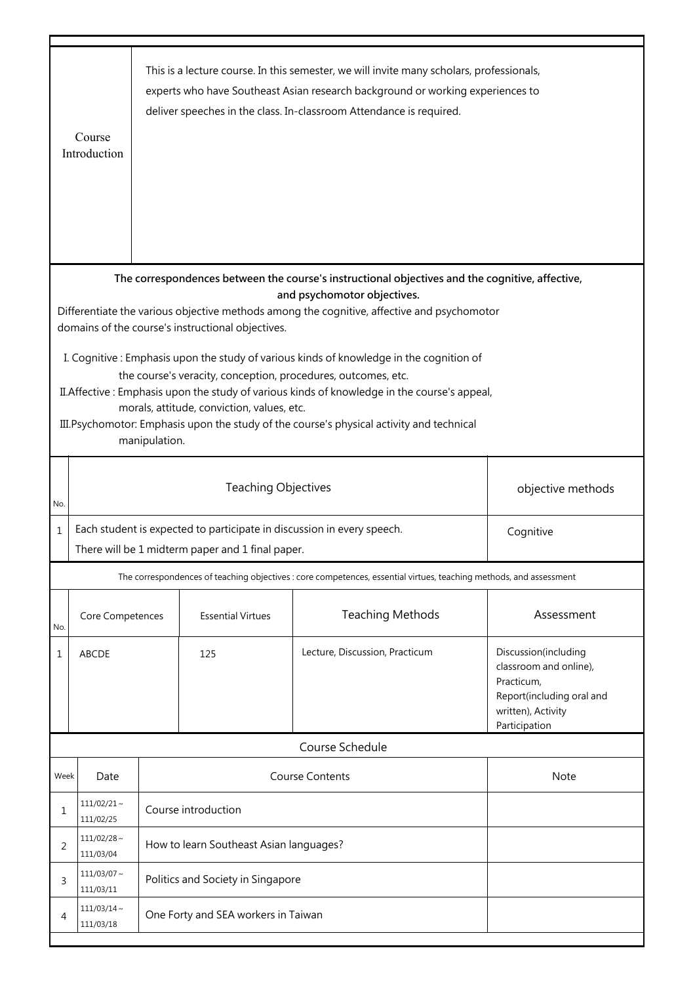|                                                                                                                                                                                                                                                                                                                                                                                                                      | Course<br>Introduction                                                                                                                  | This is a lecture course. In this semester, we will invite many scholars, professionals,<br>experts who have Southeast Asian research background or working experiences to<br>deliver speeches in the class. In-classroom Attendance is required. |                          |                                                                                                                    |                                                                                                                                  |  |
|----------------------------------------------------------------------------------------------------------------------------------------------------------------------------------------------------------------------------------------------------------------------------------------------------------------------------------------------------------------------------------------------------------------------|-----------------------------------------------------------------------------------------------------------------------------------------|---------------------------------------------------------------------------------------------------------------------------------------------------------------------------------------------------------------------------------------------------|--------------------------|--------------------------------------------------------------------------------------------------------------------|----------------------------------------------------------------------------------------------------------------------------------|--|
|                                                                                                                                                                                                                                                                                                                                                                                                                      |                                                                                                                                         |                                                                                                                                                                                                                                                   |                          | The correspondences between the course's instructional objectives and the cognitive, affective,                    |                                                                                                                                  |  |
| and psychomotor objectives.<br>Differentiate the various objective methods among the cognitive, affective and psychomotor<br>domains of the course's instructional objectives.                                                                                                                                                                                                                                       |                                                                                                                                         |                                                                                                                                                                                                                                                   |                          |                                                                                                                    |                                                                                                                                  |  |
| I. Cognitive: Emphasis upon the study of various kinds of knowledge in the cognition of<br>the course's veracity, conception, procedures, outcomes, etc.<br>II. Affective: Emphasis upon the study of various kinds of knowledge in the course's appeal,<br>morals, attitude, conviction, values, etc.<br>III. Psychomotor: Emphasis upon the study of the course's physical activity and technical<br>manipulation. |                                                                                                                                         |                                                                                                                                                                                                                                                   |                          |                                                                                                                    |                                                                                                                                  |  |
| No.                                                                                                                                                                                                                                                                                                                                                                                                                  |                                                                                                                                         | <b>Teaching Objectives</b><br>objective methods                                                                                                                                                                                                   |                          |                                                                                                                    |                                                                                                                                  |  |
| $\mathbf 1$                                                                                                                                                                                                                                                                                                                                                                                                          | Each student is expected to participate in discussion in every speech.<br>Cognitive<br>There will be 1 midterm paper and 1 final paper. |                                                                                                                                                                                                                                                   |                          |                                                                                                                    |                                                                                                                                  |  |
|                                                                                                                                                                                                                                                                                                                                                                                                                      |                                                                                                                                         |                                                                                                                                                                                                                                                   |                          | The correspondences of teaching objectives : core competences, essential virtues, teaching methods, and assessment |                                                                                                                                  |  |
| No.                                                                                                                                                                                                                                                                                                                                                                                                                  | Core Competences                                                                                                                        |                                                                                                                                                                                                                                                   | <b>Essential Virtues</b> | <b>Teaching Methods</b>                                                                                            | Assessment                                                                                                                       |  |
| 1                                                                                                                                                                                                                                                                                                                                                                                                                    | ABCDE                                                                                                                                   |                                                                                                                                                                                                                                                   | 125                      | Lecture, Discussion, Practicum                                                                                     | Discussion(including<br>classroom and online),<br>Practicum,<br>Report(including oral and<br>written), Activity<br>Participation |  |
|                                                                                                                                                                                                                                                                                                                                                                                                                      |                                                                                                                                         |                                                                                                                                                                                                                                                   |                          | Course Schedule                                                                                                    |                                                                                                                                  |  |
| Week                                                                                                                                                                                                                                                                                                                                                                                                                 | Date                                                                                                                                    |                                                                                                                                                                                                                                                   |                          | <b>Course Contents</b>                                                                                             | Note                                                                                                                             |  |
| 1                                                                                                                                                                                                                                                                                                                                                                                                                    | $111/02/21$ ~<br>111/02/25                                                                                                              | Course introduction                                                                                                                                                                                                                               |                          |                                                                                                                    |                                                                                                                                  |  |
| 2                                                                                                                                                                                                                                                                                                                                                                                                                    | $111/02/28 \sim$<br>111/03/04                                                                                                           | How to learn Southeast Asian languages?                                                                                                                                                                                                           |                          |                                                                                                                    |                                                                                                                                  |  |
| 3                                                                                                                                                                                                                                                                                                                                                                                                                    | $111/03/07 \sim$<br>111/03/11                                                                                                           | Politics and Society in Singapore                                                                                                                                                                                                                 |                          |                                                                                                                    |                                                                                                                                  |  |
| 4                                                                                                                                                                                                                                                                                                                                                                                                                    | $111/03/14 \sim$<br>One Forty and SEA workers in Taiwan<br>111/03/18                                                                    |                                                                                                                                                                                                                                                   |                          |                                                                                                                    |                                                                                                                                  |  |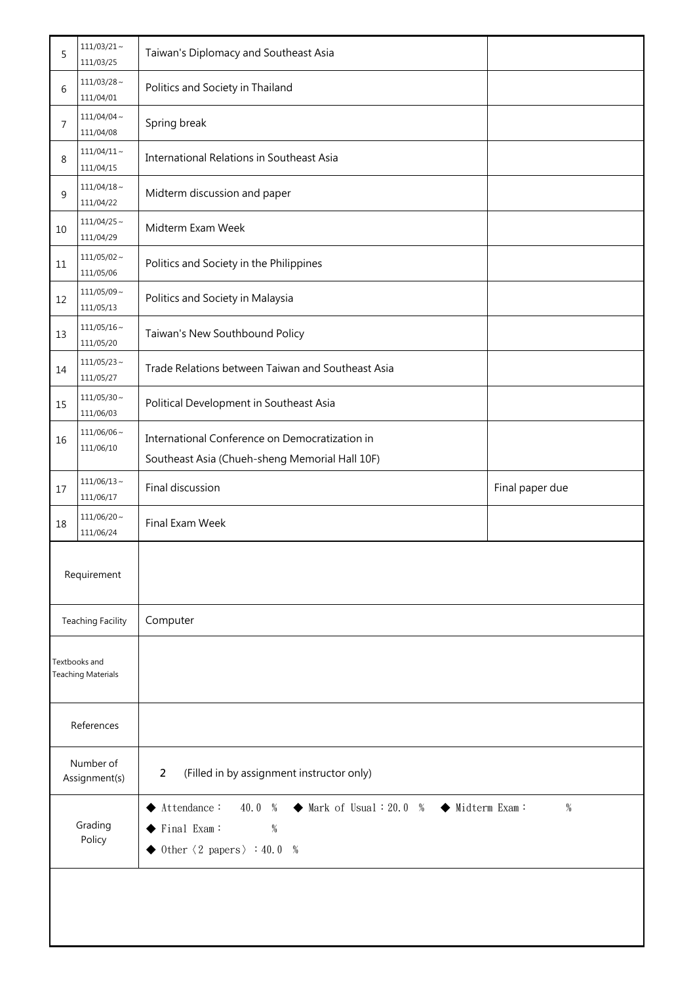| 5                                          | $111/03/21 \sim$<br>111/03/25 | Taiwan's Diplomacy and Southeast Asia                                                                                                                                                                                    |                 |  |
|--------------------------------------------|-------------------------------|--------------------------------------------------------------------------------------------------------------------------------------------------------------------------------------------------------------------------|-----------------|--|
| 6                                          | $111/03/28 \sim$<br>111/04/01 | Politics and Society in Thailand                                                                                                                                                                                         |                 |  |
| 7                                          | $111/04/04 \sim$<br>111/04/08 | Spring break                                                                                                                                                                                                             |                 |  |
| 8                                          | $111/04/11 \sim$<br>111/04/15 | International Relations in Southeast Asia                                                                                                                                                                                |                 |  |
| 9                                          | $111/04/18 \sim$<br>111/04/22 | Midterm discussion and paper                                                                                                                                                                                             |                 |  |
| 10                                         | $111/04/25$ ~<br>111/04/29    | Midterm Exam Week                                                                                                                                                                                                        |                 |  |
| 11                                         | $111/05/02 \sim$<br>111/05/06 | Politics and Society in the Philippines                                                                                                                                                                                  |                 |  |
| 12                                         | $111/05/09 \sim$<br>111/05/13 | Politics and Society in Malaysia                                                                                                                                                                                         |                 |  |
| 13                                         | $111/05/16 \sim$<br>111/05/20 | Taiwan's New Southbound Policy                                                                                                                                                                                           |                 |  |
| 14                                         | $111/05/23$ ~<br>111/05/27    | Trade Relations between Taiwan and Southeast Asia                                                                                                                                                                        |                 |  |
| 15                                         | $111/05/30 \sim$<br>111/06/03 | Political Development in Southeast Asia                                                                                                                                                                                  |                 |  |
| 16                                         | $111/06/06$ ~<br>111/06/10    | International Conference on Democratization in<br>Southeast Asia (Chueh-sheng Memorial Hall 10F)                                                                                                                         |                 |  |
| 17                                         | $111/06/13 \sim$<br>111/06/17 | Final discussion                                                                                                                                                                                                         | Final paper due |  |
| 18                                         | $111/06/20 \sim$<br>111/06/24 | Final Exam Week                                                                                                                                                                                                          |                 |  |
|                                            | Requirement                   |                                                                                                                                                                                                                          |                 |  |
|                                            | <b>Teaching Facility</b>      | Computer                                                                                                                                                                                                                 |                 |  |
| Textbooks and<br><b>Teaching Materials</b> |                               |                                                                                                                                                                                                                          |                 |  |
|                                            | References                    |                                                                                                                                                                                                                          |                 |  |
| Number of<br>Assignment(s)                 |                               | (Filled in by assignment instructor only)<br>2                                                                                                                                                                           |                 |  |
| Grading<br>Policy                          |                               | $\blacklozenge$ Midterm Exam:<br>$\blacktriangle$ Attendance:<br>40.0 %<br>$\blacklozenge$ Mark of Usual : 20.0 %<br>%<br>Final Exam:<br>$\%$<br>$\blacktriangleright$ 0ther $\langle 2 \text{ papers} \rangle$ : 40.0 % |                 |  |
|                                            |                               |                                                                                                                                                                                                                          |                 |  |